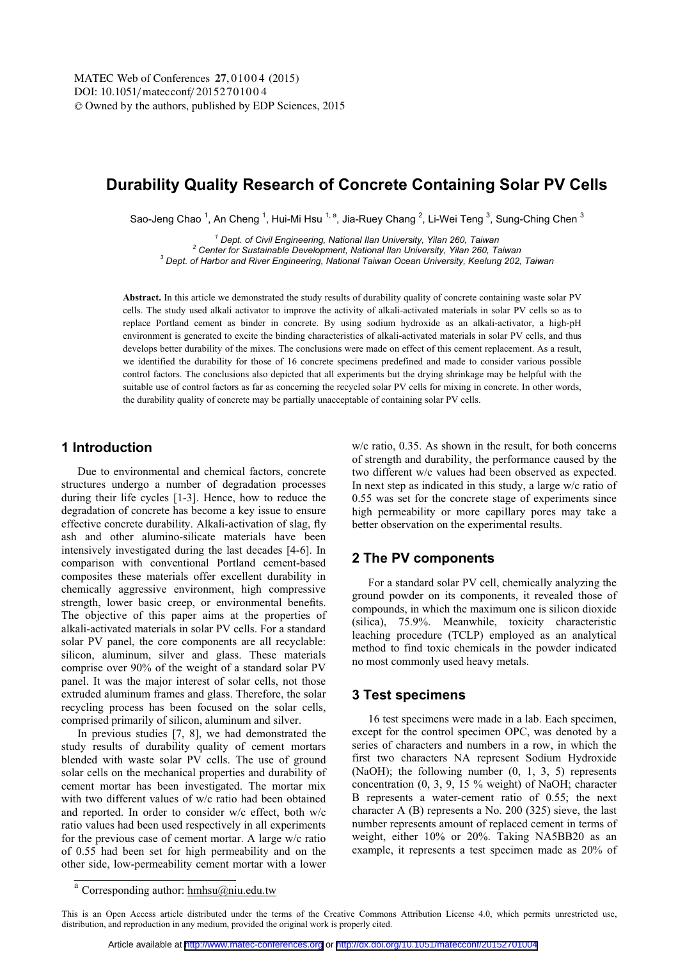# **Durability Quality Research of Concrete Containing Solar PV Cells**

Sao-Jeng Chao ,An Cheng ,Hui-Mi Hsu 一,Jia-Ruey Chang ,Li-Wei Teng ,Sung-Ching Chen "<br>Sao-Jeng Chao ,An Cheng ,Hui-Mi Hsu 一,Jia-Ruey Chang ,Li-Wei Teng ,Sung-Ching Chen

<sup>1</sup> Dept. of Civil Engineering, National Ilan University, Yilan 260, Taiwan  *Dept. of Civil Engineering, National Ilan University, Yilan 260, Taiwan 2 Center for Sustainable Development, National Ilan University, Yilan 260, Taiwan 3*

 *Dept. of Harbor and River Engineering, National Taiwan Ocean University, Keelung 202, Taiwan* 

**Abstract.** In this article we demonstrated the study results of durability quality of concrete containing waste solar PV cells. The study used alkali activator to improve the activity of alkali-activated materials in solar PV cells so as to replace Portland cement as binder in concrete. By using sodium hydroxide as an alkali-activator, a high-pH environment is generated to excite the binding characteristics of alkali-activated materials in solar PV cells, and thus develops better durability of the mixes. The conclusions were made on effect of this cement replacement. As a result, we identified the durability for those of 16 concrete specimens predefined and made to consider various possible control factors. The conclusions also depicted that all experiments but the drying shrinkage may be helpful with the suitable use of control factors as far as concerning the recycled solar PV cells for mixing in concrete. In other words, the durability quality of concrete may be partially unacceptable of containing solar PV cells.

#### **1 Introduction**

Due to environmental and chemical factors, concrete structures undergo a number of degradation processes during their life cycles [1-3]. Hence, how to reduce the degradation of concrete has become a key issue to ensure effective concrete durability. Alkali-activation of slag, fly ash and other alumino-silicate materials have been intensively investigated during the last decades [4-6]. In comparison with conventional Portland cement-based composites these materials offer excellent durability in chemically aggressive environment, high compressive strength, lower basic creep, or environmental benefits. The objective of this paper aims at the properties of alkali-activated materials in solar PV cells. For a standard solar PV panel, the core components are all recyclable: silicon, aluminum, silver and glass. These materials comprise over 90% of the weight of a standard solar PV panel. It was the major interest of solar cells, not those extruded aluminum frames and glass. Therefore, the solar recycling process has been focused on the solar cells, comprised primarily of silicon, aluminum and silver.

In previous studies [7, 8], we had demonstrated the study results of durability quality of cement mortars blended with waste solar PV cells. The use of ground solar cells on the mechanical properties and durability of cement mortar has been investigated. The mortar mix with two different values of w/c ratio had been obtained and reported. In order to consider w/c effect, both w/c ratio values had been used respectively in all experiments for the previous case of cement mortar. A large w/c ratio of 0.55 had been set for high permeability and on the other side, low-permeability cement mortar with a lower w/c ratio, 0.35. As shown in the result, for both concerns of strength and durability, the performance caused by the two different w/c values had been observed as expected. In next step as indicated in this study, a large w/c ratio of 0.55 was set for the concrete stage of experiments since high permeability or more capillary pores may take a better observation on the experimental results.

## **2 The PV components**

For a standard solar PV cell, chemically analyzing the ground powder on its components, it revealed those of compounds, in which the maximum one is silicon dioxide (silica), 75.9%. Meanwhile, toxicity characteristic leaching procedure (TCLP) employed as an analytical method to find toxic chemicals in the powder indicated no most commonly used heavy metals.

#### **3 Test specimens**

16 test specimens were made in a lab. Each specimen, except for the control specimen OPC, was denoted by a series of characters and numbers in a row, in which the first two characters NA represent Sodium Hydroxide (NaOH); the following number (0, 1, 3, 5) represents concentration (0, 3, 9, 15 % weight) of NaOH; character B represents a water-cement ratio of 0.55; the next character A (B) represents a No. 200 (325) sieve, the last number represents amount of replaced cement in terms of weight, either 10% or 20%. Taking NA5BB20 as an example, it represents a test specimen made as 20% of

<sup>&</sup>lt;sup>a</sup> Corresponding author: hmhsu@niu.edu.tw

This is an Open Access article distributed under the terms of the Creative Commons Attribution License 4.0, which permits unrestricted use, distribution, and reproduction in any medium, provided the original work is properly cited.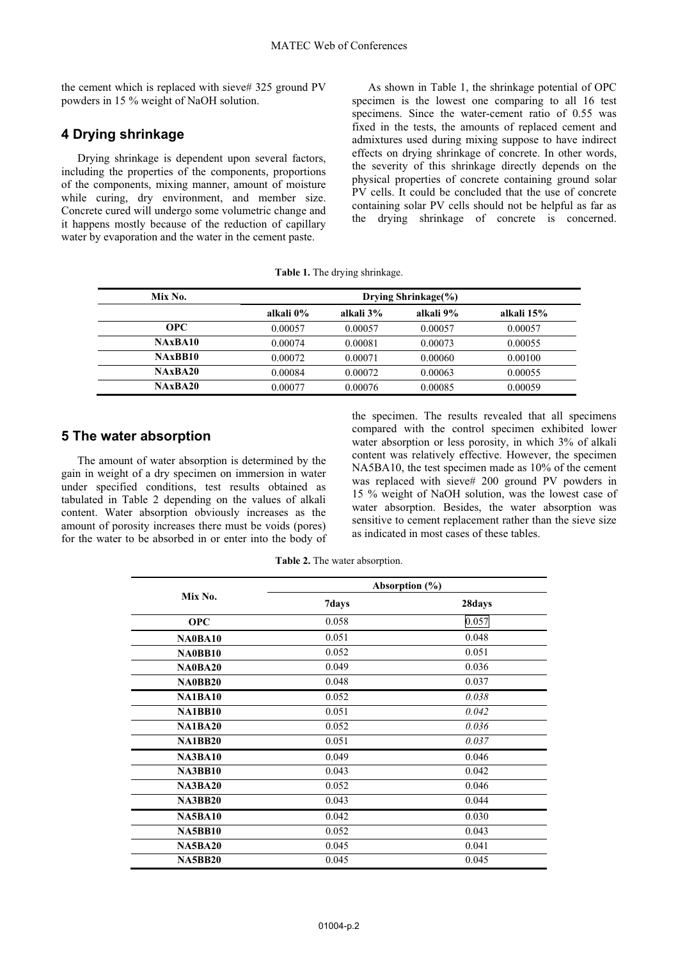the cement which is replaced with sieve# 325 ground PV powders in 15 % weight of NaOH solution.

## **4 Drying shrinkage**

Drying shrinkage is dependent upon several factors, including the properties of the components, proportions of the components, mixing manner, amount of moisture while curing, dry environment, and member size. Concrete cured will undergo some volumetric change and it happens mostly because of the reduction of capillary water by evaporation and the water in the cement paste.

As shown in Table 1, the shrinkage potential of OPC specimen is the lowest one comparing to all 16 test specimens. Since the water-cement ratio of 0.55 was fixed in the tests, the amounts of replaced cement and admixtures used during mixing suppose to have indirect effects on drying shrinkage of concrete. In other words, the severity of this shrinkage directly depends on the physical properties of concrete containing ground solar PV cells. It could be concluded that the use of concrete containing solar PV cells should not be helpful as far as the drying shrinkage of concrete is concerned.

**Table 1.** The drying shrinkage.

| Mix No.    | Drying Shrinkage $(\%)$ |           |           |            |
|------------|-------------------------|-----------|-----------|------------|
|            | alkali 0%               | alkali 3% | alkali 9% | alkali 15% |
| <b>OPC</b> | 0.00057                 | 0.00057   | 0.00057   | 0.00057    |
| NAxBA10    | 0.00074                 | 0.00081   | 0.00073   | 0.00055    |
| NAxBB10    | 0.00072                 | 0.00071   | 0.00060   | 0.00100    |
| NAxBA20    | 0.00084                 | 0.00072   | 0.00063   | 0.00055    |
| NAxBA20    | 0.00077                 | 0.00076   | 0.00085   | 0.00059    |

#### **5 The water absorption**

The amount of water absorption is determined by the gain in weight of a dry specimen on immersion in water under specified conditions, test results obtained as tabulated in Table 2 depending on the values of alkali content. Water absorption obviously increases as the amount of porosity increases there must be voids (pores) for the water to be absorbed in or enter into the body of the specimen. The results revealed that all specimens compared with the control specimen exhibited lower water absorption or less porosity, in which 3% of alkali content was relatively effective. However, the specimen NA5BA10, the test specimen made as 10% of the cement was replaced with sieve# 200 ground PV powders in 15 % weight of NaOH solution, was the lowest case of water absorption. Besides, the water absorption was sensitive to cement replacement rather than the sieve size as indicated in most cases of these tables.

**Table 2.** The water absorption.

|                |       | Absorption $(\% )$ |  |
|----------------|-------|--------------------|--|
| Mix No.        | 7days | 28days             |  |
| <b>OPC</b>     | 0.058 | 0.057              |  |
| NA0BA10        | 0.051 | 0.048              |  |
| NA0BB10        | 0.052 | 0.051              |  |
| NA0BA20        | 0.049 | 0.036              |  |
| NA0BB20        | 0.048 | 0.037              |  |
| <b>NA1BA10</b> | 0.052 | 0.038              |  |
| <b>NA1BB10</b> | 0.051 | 0.042              |  |
| <b>NA1BA20</b> | 0.052 | 0.036              |  |
| <b>NA1BB20</b> | 0.051 | 0.037              |  |
| <b>NA3BA10</b> | 0.049 | 0.046              |  |
| <b>NA3BB10</b> | 0.043 | 0.042              |  |
| <b>NA3BA20</b> | 0.052 | 0.046              |  |
| <b>NA3BB20</b> | 0.043 | 0.044              |  |
| <b>NA5BA10</b> | 0.042 | 0.030              |  |
| <b>NA5BB10</b> | 0.052 | 0.043              |  |
| <b>NA5BA20</b> | 0.045 | 0.041              |  |
| <b>NA5BB20</b> | 0.045 | 0.045              |  |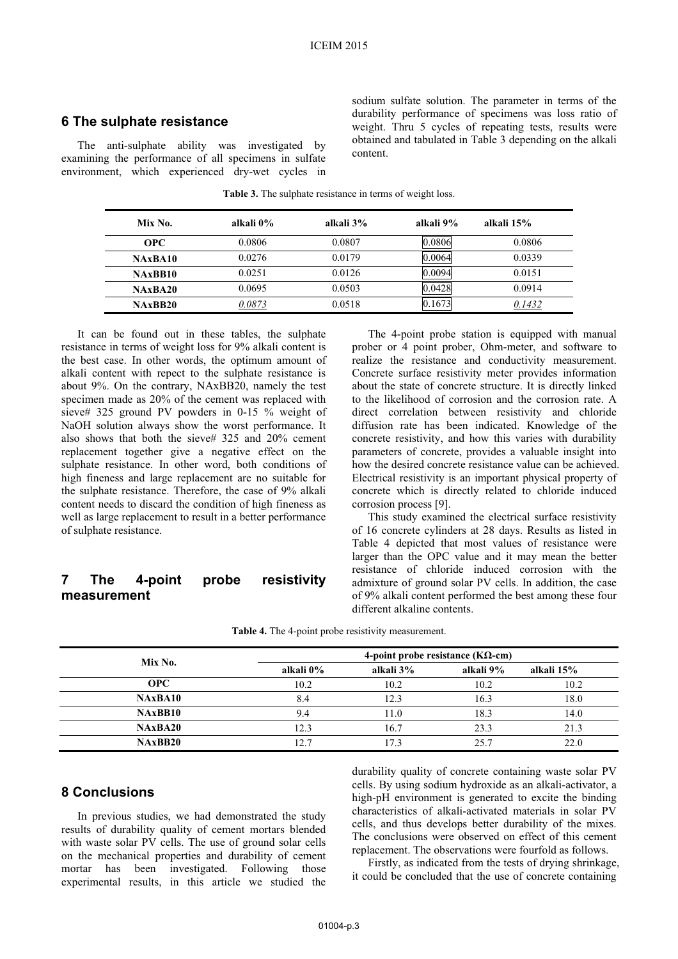#### **6 The sulphate resistance**

The anti-sulphate ability was investigated by examining the performance of all specimens in sulfate environment, which experienced dry-wet cycles in sodium sulfate solution. The parameter in terms of the durability performance of specimens was loss ratio of weight. Thru 5 cycles of repeating tests, results were obtained and tabulated in Table 3 depending on the alkali content.

| Mix No.    | alkali 0% | alkali 3% | alkali 9% | alkali 15% |
|------------|-----------|-----------|-----------|------------|
| <b>OPC</b> | 0.0806    | 0.0807    | 0.0806    | 0.0806     |
| NAxBA10    | 0.0276    | 0.0179    | 0.0064    | 0.0339     |
| NAxBB10    | 0.0251    | 0.0126    | 0.0094    | 0.0151     |
| NAxBA20    | 0.0695    | 0.0503    | 0.0428    | 0.0914     |
| NAxBB20    | 0.0873    | 0.0518    | 0.1673    | 0.1432     |

**Table 3.** The sulphate resistance in terms of weight loss.

It can be found out in these tables, the sulphate resistance in terms of weight loss for 9% alkali content is the best case. In other words, the optimum amount of alkali content with repect to the sulphate resistance is about 9%. On the contrary, NAxBB20, namely the test specimen made as 20% of the cement was replaced with sieve# 325 ground PV powders in 0-15 % weight of NaOH solution always show the worst performance. It also shows that both the sieve# 325 and 20% cement replacement together give a negative effect on the sulphate resistance. In other word, both conditions of high fineness and large replacement are no suitable for the sulphate resistance. Therefore, the case of 9% alkali content needs to discard the condition of high fineness as well as large replacement to result in a better performance of sulphate resistance.

## **7 The 4-point probe resistivity measurement**

The 4-point probe station is equipped with manual prober or 4 point prober, Ohm-meter, and software to realize the resistance and conductivity measurement. Concrete surface resistivity meter provides information about the state of concrete structure. It is directly linked to the likelihood of corrosion and the corrosion rate. A direct correlation between resistivity and chloride diffusion rate has been indicated. Knowledge of the concrete resistivity, and how this varies with durability parameters of concrete, provides a valuable insight into how the desired concrete resistance value can be achieved. Electrical resistivity is an important physical property of concrete which is directly related to chloride induced corrosion process [9].

This study examined the electrical surface resistivity of 16 concrete cylinders at 28 days. Results as listed in Table 4 depicted that most values of resistance were larger than the OPC value and it may mean the better resistance of chloride induced corrosion with the admixture of ground solar PV cells. In addition, the case of 9% alkali content performed the best among these four different alkaline contents.

|  |  | <b>Table 4.</b> The 4-point probe resistivity measurement. |  |
|--|--|------------------------------------------------------------|--|
|--|--|------------------------------------------------------------|--|

| Mix No.    | 4-point probe resistance ( $K\Omega$ -cm) |           |           |            |
|------------|-------------------------------------------|-----------|-----------|------------|
|            | alkali 0%                                 | alkali 3% | alkali 9% | alkali 15% |
| <b>OPC</b> | 10.2                                      | 10.2      | 10.2      | 10.2       |
| NAxBA10    | 8.4                                       | 12.3      | 16.3      | 18.0       |
| NAxBB10    | 9.4                                       | 11.0      | 18.3      | 14.0       |
| NAxBA20    | 12.3                                      | 16.7      | 23.3      | 21.3       |
| NAxBB20    | 12.7                                      | 17.3      | 25.7      | 22.0       |

#### **8 Conclusions**

In previous studies, we had demonstrated the study results of durability quality of cement mortars blended with waste solar PV cells. The use of ground solar cells on the mechanical properties and durability of cement mortar has been investigated. Following those experimental results, in this article we studied the

durability quality of concrete containing waste solar PV cells. By using sodium hydroxide as an alkali-activator, a high-pH environment is generated to excite the binding characteristics of alkali-activated materials in solar PV cells, and thus develops better durability of the mixes. The conclusions were observed on effect of this cement replacement. The observations were fourfold as follows.

Firstly, as indicated from the tests of drying shrinkage, it could be concluded that the use of concrete containing